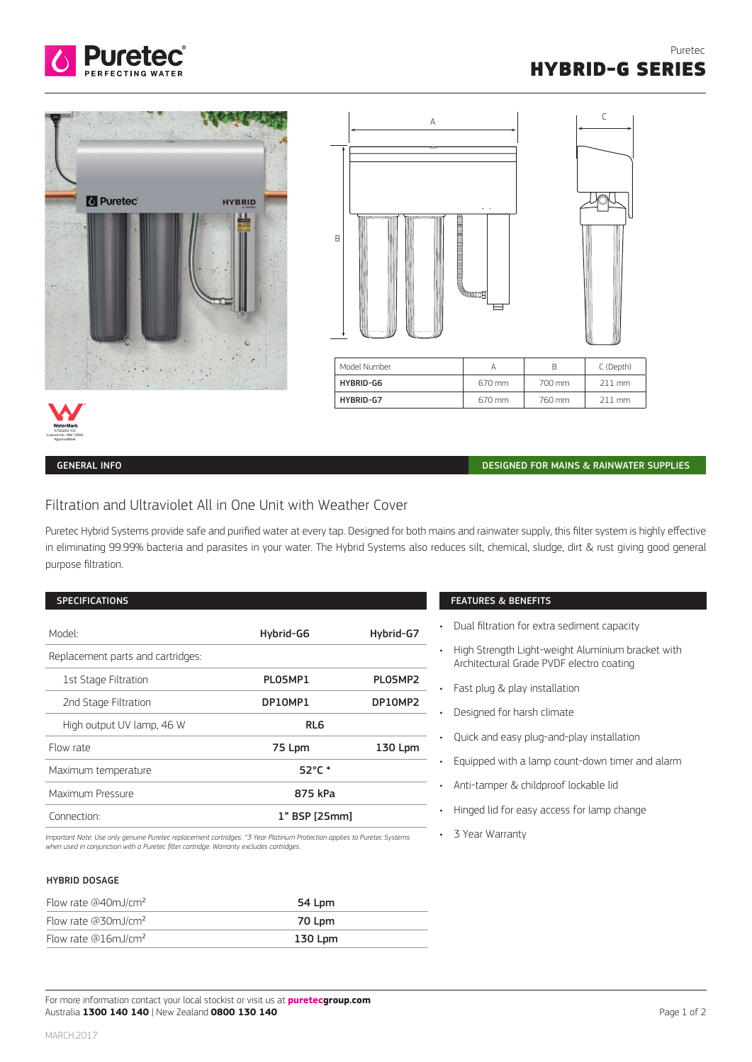





| Model Number |        |        | C (Depth) |
|--------------|--------|--------|-----------|
| HYBRID-G6    | 670 mm | 700 mm | 211 mm    |
| HYBRID-G7    | 670 mm | 760 mm | 211 mm    |

• 3 Year Warranty

ATS5200.103 Licence No. WM 74593 ApprovalMark

### GENERAL INFO DESIGNED FOR MAINS & RAINWATER SUPPLIES

# Filtration and Ultraviolet All in One Unit with Weather Cover

Puretec Hybrid Systems provide safe and purified water at every tap. Designed for both mains and rainwater supply, this filter system is highly effective in eliminating 99.99% bacteria and parasites in your water. The Hybrid Systems also reduces silt, chemical, sludge, dirt & rust giving good general purpose filtration.

| <b>SPECIFICATIONS</b>                       |                  |           | <b>FEATURES &amp; BENEFITS</b>                                                                                                                                         |
|---------------------------------------------|------------------|-----------|------------------------------------------------------------------------------------------------------------------------------------------------------------------------|
| Model:<br>Replacement parts and cartridges: | Hybrid-G6        | Hybrid-G7 | Dual filtration for extra sediment capacity<br>$\bullet$<br>High Strength Light-weight Aluminium bracket with<br>$\bullet$<br>Architectural Grade PVDF electro coating |
| 1st Stage Filtration                        | PLO5MP1          | PLO5MP2   | Fast plug & play installation                                                                                                                                          |
| 2nd Stage Filtration                        | DP10MP1          | DP10MP2   | Designed for harsh climate                                                                                                                                             |
| High output UV lamp, 46 W                   | RL <sub>6</sub>  |           | Quick and easy plug-and-play installation                                                                                                                              |
| Flow rate                                   | 75 Lpm           | 130 Lpm   |                                                                                                                                                                        |
| Maximum temperature                         | $52^{\circ}$ C * |           | Equipped with a lamp count-down timer and alarm                                                                                                                        |
| Maximum Pressure                            | 875 kPa          |           | Anti-tamper & childproof lockable lid<br>$\bullet$                                                                                                                     |
| Connection:                                 | 1" BSP [25mm]    |           | Hinged lid for easy access for lamp change                                                                                                                             |

Important Note: Use only genuine Puretec replacement cartridges. ^3 Year Platinum Protection applies to Puretec Systems<br>when used in conjunction with a Puretec filter cartridge. Warranty excludes cartridges.

### HYBRID DOSAGE

| Flow rate $@40mJ/cm2$           | 54 Lpm  |
|---------------------------------|---------|
| Flow rate @30mJ/cm <sup>2</sup> | 70 Lpm  |
| Flow rate @16mJ/cm <sup>2</sup> | 130 Lpm |